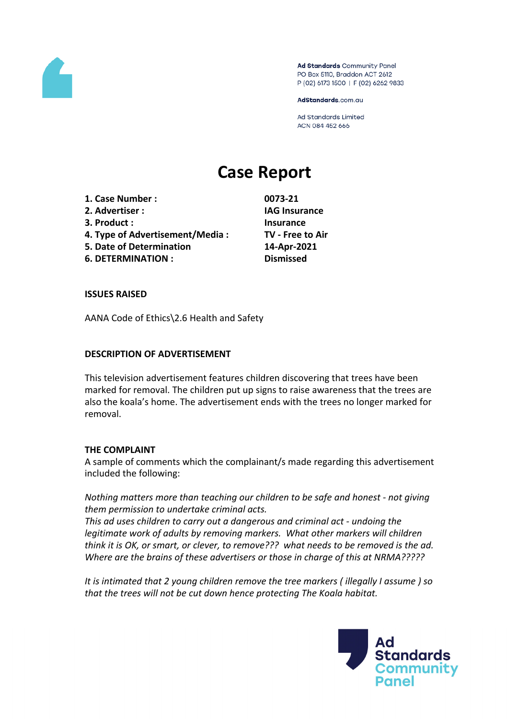

Ad Standards Community Panel PO Box 5110, Braddon ACT 2612 P (02) 6173 1500 | F (02) 6262 9833

AdStandards.com.au

**Ad Standards Limited** ACN 084 452 666

# **Case Report**

- **1. Case Number : 0073-21 2. Advertiser : IAG Insurance 3. Product : Insurance**
- **4. Type of Advertisement/Media : TV - Free to Air**
- **5. Date of Determination 14-Apr-2021**
- **6. DETERMINATION : Dismissed**

## **ISSUES RAISED**

AANA Code of Ethics\2.6 Health and Safety

## **DESCRIPTION OF ADVERTISEMENT**

This television advertisement features children discovering that trees have been marked for removal. The children put up signs to raise awareness that the trees are also the koala's home. The advertisement ends with the trees no longer marked for removal.

## **THE COMPLAINT**

A sample of comments which the complainant/s made regarding this advertisement included the following:

*Nothing matters more than teaching our children to be safe and honest - not giving them permission to undertake criminal acts.*

*This ad uses children to carry out a dangerous and criminal act - undoing the legitimate work of adults by removing markers. What other markers will children think it is OK, or smart, or clever, to remove??? what needs to be removed is the ad. Where are the brains of these advertisers or those in charge of this at NRMA?????*

*It is intimated that 2 young children remove the tree markers ( illegally I assume ) so that the trees will not be cut down hence protecting The Koala habitat.*

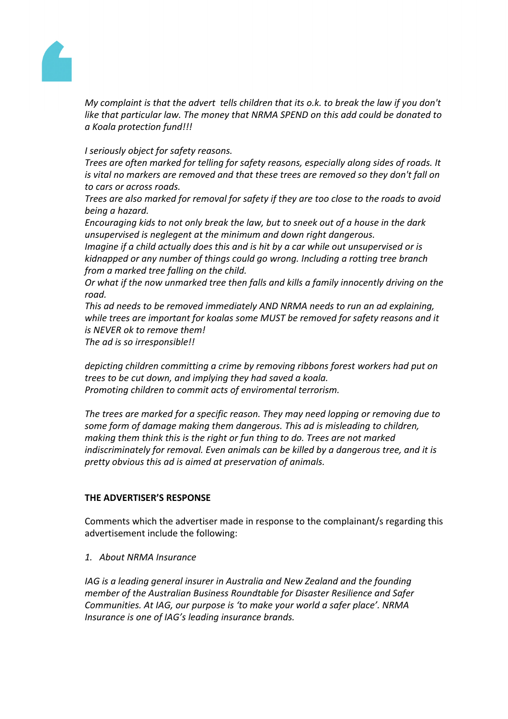

*My complaint is that the advert tells children that its o.k. to break the law if you don't like that particular law. The money that NRMA SPEND on this add could be donated to a Koala protection fund!!!*

*I seriously object for safety reasons.*

*Trees are often marked for telling for safety reasons, especially along sides of roads. It is vital no markers are removed and that these trees are removed so they don't fall on to cars or across roads.*

*Trees are also marked for removal for safety if they are too close to the roads to avoid being a hazard.*

*Encouraging kids to not only break the law, but to sneek out of a house in the dark unsupervised is neglegent at the minimum and down right dangerous.*

*Imagine if a child actually does this and is hit by a car while out unsupervised or is kidnapped or any number of things could go wrong. Including a rotting tree branch from a marked tree falling on the child.*

*Or what if the now unmarked tree then falls and kills a family innocently driving on the road.*

*This ad needs to be removed immediately AND NRMA needs to run an ad explaining, while trees are important for koalas some MUST be removed for safety reasons and it is NEVER ok to remove them!*

*The ad is so irresponsible!!*

*depicting children committing a crime by removing ribbons forest workers had put on trees to be cut down, and implying they had saved a koala. Promoting children to commit acts of enviromental terrorism.*

*The trees are marked for a specific reason. They may need lopping or removing due to some form of damage making them dangerous. This ad is misleading to children, making them think this is the right or fun thing to do. Trees are not marked indiscriminately for removal. Even animals can be killed by a dangerous tree, and it is pretty obvious this ad is aimed at preservation of animals.*

# **THE ADVERTISER'S RESPONSE**

Comments which the advertiser made in response to the complainant/s regarding this advertisement include the following:

*1. About NRMA Insurance*

*IAG is a leading general insurer in Australia and New Zealand and the founding member of the Australian Business Roundtable for Disaster Resilience and Safer Communities. At IAG, our purpose is 'to make your world a safer place'. NRMA Insurance is one of IAG's leading insurance brands.*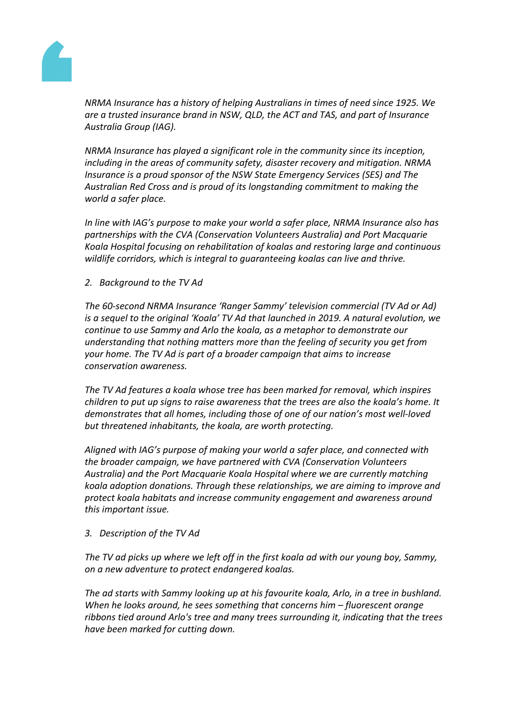

*NRMA Insurance has a history of helping Australians in times of need since 1925. We are a trusted insurance brand in NSW, QLD, the ACT and TAS, and part of Insurance Australia Group (IAG).*

*NRMA Insurance has played a significant role in the community since its inception, including in the areas of community safety, disaster recovery and mitigation. NRMA Insurance is a proud sponsor of the NSW State Emergency Services (SES) and The Australian Red Cross and is proud of its longstanding commitment to making the world a safer place.*

*In line with IAG's purpose to make your world a safer place, NRMA Insurance also has partnerships with the CVA (Conservation Volunteers Australia) and Port Macquarie Koala Hospital focusing on rehabilitation of koalas and restoring large and continuous wildlife corridors, which is integral to guaranteeing koalas can live and thrive.*

*2. Background to the TV Ad*

*The 60-second NRMA Insurance 'Ranger Sammy' television commercial (TV Ad or Ad) is a sequel to the original 'Koala' TV Ad that launched in 2019. A natural evolution, we continue to use Sammy and Arlo the koala, as a metaphor to demonstrate our understanding that nothing matters more than the feeling of security you get from your home. The TV Ad is part of a broader campaign that aims to increase conservation awareness.*

*The TV Ad features a koala whose tree has been marked for removal, which inspires children to put up signs to raise awareness that the trees are also the koala's home. It demonstrates that all homes, including those of one of our nation's most well-loved but threatened inhabitants, the koala, are worth protecting.*

*Aligned with IAG's purpose of making your world a safer place, and connected with the broader campaign, we have partnered with CVA (Conservation Volunteers Australia) and the Port Macquarie Koala Hospital where we are currently matching koala adoption donations. Through these relationships, we are aiming to improve and protect koala habitats and increase community engagement and awareness around this important issue.*

## *3. Description of the TV Ad*

*The TV ad picks up where we left off in the first koala ad with our young boy, Sammy, on a new adventure to protect endangered koalas.*

*The ad starts with Sammy looking up at his favourite koala, Arlo, in a tree in bushland. When he looks around, he sees something that concerns him – fluorescent orange ribbons tied around Arlo's tree and many trees surrounding it, indicating that the trees have been marked for cutting down.*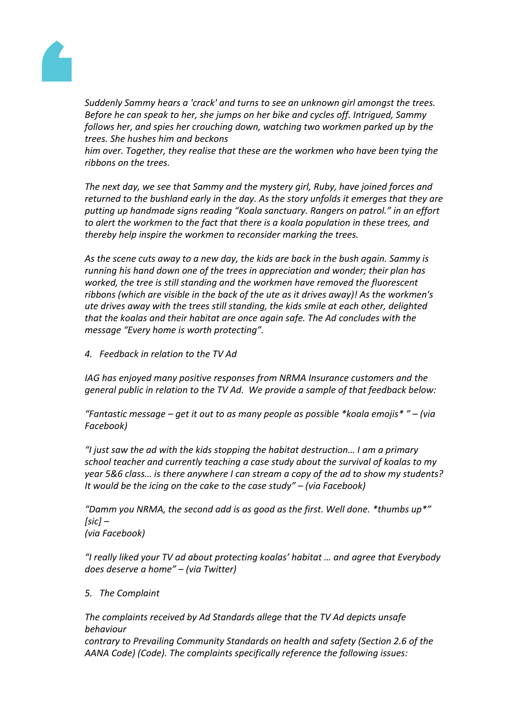

*Suddenly Sammy hears a 'crack' and turns to see an unknown girl amongst the trees. Before he can speak to her, she jumps on her bike and cycles off. Intrigued, Sammy follows her, and spies her crouching down, watching two workmen parked up by the trees. She hushes him and beckons*

*him over. Together, they realise that these are the workmen who have been tying the ribbons on the trees.*

*The next day, we see that Sammy and the mystery girl, Ruby, have joined forces and returned to the bushland early in the day. As the story unfolds it emerges that they are putting up handmade signs reading "Koala sanctuary. Rangers on patrol." in an effort to alert the workmen to the fact that there is a koala population in these trees, and thereby help inspire the workmen to reconsider marking the trees.*

*As the scene cuts away to a new day, the kids are back in the bush again. Sammy is running his hand down one of the trees in appreciation and wonder; their plan has worked, the tree is still standing and the workmen have removed the fluorescent ribbons (which are visible in the back of the ute as it drives away)! As the workmen's ute drives away with the trees still standing, the kids smile at each other, delighted that the koalas and their habitat are once again safe. The Ad concludes with the message "Every home is worth protecting".*

*4. Feedback in relation to the TV Ad*

*IAG has enjoyed many positive responses from NRMA Insurance customers and the general public in relation to the TV Ad. We provide a sample of that feedback below:*

*"Fantastic message – get it out to as many people as possible \*koala emojis\* " – (via Facebook)*

*"I just saw the ad with the kids stopping the habitat destruction… I am a primary school teacher and currently teaching a case study about the survival of koalas to my year 5&6 class… is there anywhere I can stream a copy of the ad to show my students? It would be the icing on the cake to the case study" – (via Facebook)*

*"Damm you NRMA, the second add is as good as the first. Well done. \*thumbs up\*" [sic] – (via Facebook)*

*"I really liked your TV ad about protecting koalas' habitat … and agree that Everybody does deserve a home" – (via Twitter)*

*5. The Complaint*

*The complaints received by Ad Standards allege that the TV Ad depicts unsafe behaviour contrary to Prevailing Community Standards on health and safety (Section 2.6 of the AANA Code) (Code). The complaints specifically reference the following issues:*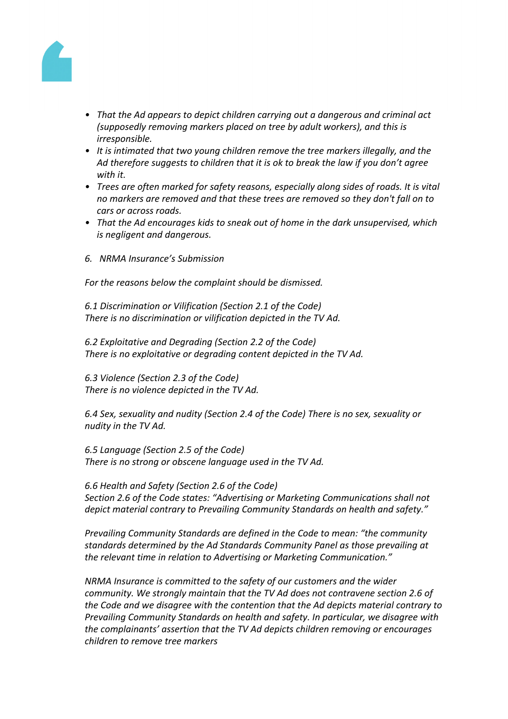

- *• That the Ad appears to depict children carrying out a dangerous and criminal act (supposedly removing markers placed on tree by adult workers), and this is irresponsible.*
- *• It is intimated that two young children remove the tree markers illegally, and the Ad therefore suggests to children that it is ok to break the law if you don't agree with it.*
- *• Trees are often marked for safety reasons, especially along sides of roads. It is vital no markers are removed and that these trees are removed so they don't fall on to cars or across roads.*
- *• That the Ad encourages kids to sneak out of home in the dark unsupervised, which is negligent and dangerous.*
- *6. NRMA Insurance's Submission*

*For the reasons below the complaint should be dismissed.*

*6.1 Discrimination or Vilification (Section 2.1 of the Code) There is no discrimination or vilification depicted in the TV Ad.*

*6.2 Exploitative and Degrading (Section 2.2 of the Code) There is no exploitative or degrading content depicted in the TV Ad.*

*6.3 Violence (Section 2.3 of the Code) There is no violence depicted in the TV Ad.*

*6.4 Sex, sexuality and nudity (Section 2.4 of the Code) There is no sex, sexuality or nudity in the TV Ad.*

*6.5 Language (Section 2.5 of the Code) There is no strong or obscene language used in the TV Ad.*

*6.6 Health and Safety (Section 2.6 of the Code) Section 2.6 of the Code states: "Advertising or Marketing Communications shall not depict material contrary to Prevailing Community Standards on health and safety."*

*Prevailing Community Standards are defined in the Code to mean: "the community standards determined by the Ad Standards Community Panel as those prevailing at the relevant time in relation to Advertising or Marketing Communication."*

*NRMA Insurance is committed to the safety of our customers and the wider community. We strongly maintain that the TV Ad does not contravene section 2.6 of the Code and we disagree with the contention that the Ad depicts material contrary to Prevailing Community Standards on health and safety. In particular, we disagree with the complainants' assertion that the TV Ad depicts children removing or encourages children to remove tree markers*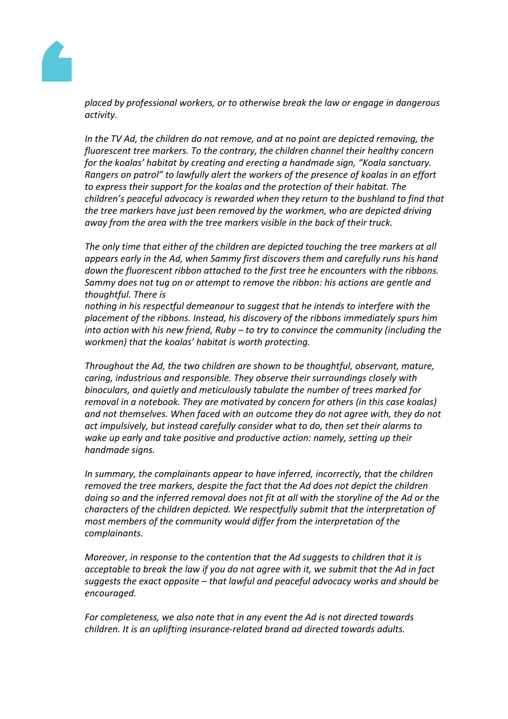

*placed by professional workers, or to otherwise break the law or engage in dangerous activity.*

*In the TV Ad, the children do not remove, and at no point are depicted removing, the fluorescent tree markers. To the contrary, the children channel their healthy concern for the koalas' habitat by creating and erecting a handmade sign, "Koala sanctuary. Rangers on patrol" to lawfully alert the workers of the presence of koalas in an effort to express their support for the koalas and the protection of their habitat. The children's peaceful advocacy is rewarded when they return to the bushland to find that the tree markers have just been removed by the workmen, who are depicted driving away from the area with the tree markers visible in the back of their truck.*

*The only time that either of the children are depicted touching the tree markers at all appears early in the Ad, when Sammy first discovers them and carefully runs his hand down the fluorescent ribbon attached to the first tree he encounters with the ribbons. Sammy does not tug on or attempt to remove the ribbon: his actions are gentle and thoughtful. There is*

*nothing in his respectful demeanour to suggest that he intends to interfere with the placement of the ribbons. Instead, his discovery of the ribbons immediately spurs him into action with his new friend, Ruby – to try to convince the community (including the workmen) that the koalas' habitat is worth protecting.*

*Throughout the Ad, the two children are shown to be thoughtful, observant, mature, caring, industrious and responsible. They observe their surroundings closely with binoculars, and quietly and meticulously tabulate the number of trees marked for removal in a notebook. They are motivated by concern for others (in this case koalas) and not themselves. When faced with an outcome they do not agree with, they do not act impulsively, but instead carefully consider what to do, then set their alarms to wake up early and take positive and productive action: namely, setting up their handmade signs.*

*In summary, the complainants appear to have inferred, incorrectly, that the children removed the tree markers, despite the fact that the Ad does not depict the children doing so and the inferred removal does not fit at all with the storyline of the Ad or the characters of the children depicted. We respectfully submit that the interpretation of most members of the community would differ from the interpretation of the complainants.*

*Moreover, in response to the contention that the Ad suggests to children that it is acceptable to break the law if you do not agree with it, we submit that the Ad in fact suggests the exact opposite – that lawful and peaceful advocacy works and should be encouraged.*

*For completeness, we also note that in any event the Ad is not directed towards children. It is an uplifting insurance-related brand ad directed towards adults.*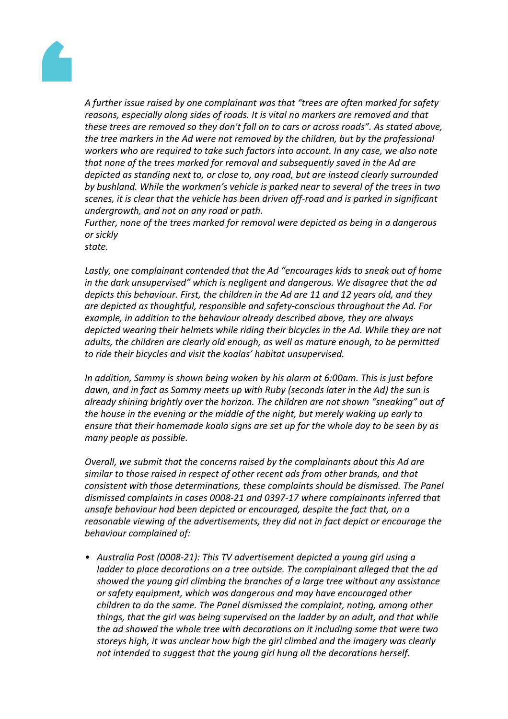

*A further issue raised by one complainant was that "trees are often marked for safety reasons, especially along sides of roads. It is vital no markers are removed and that these trees are removed so they don't fall on to cars or across roads". As stated above, the tree markers in the Ad were not removed by the children, but by the professional workers who are required to take such factors into account. In any case, we also note that none of the trees marked for removal and subsequently saved in the Ad are depicted as standing next to, or close to, any road, but are instead clearly surrounded by bushland. While the workmen's vehicle is parked near to several of the trees in two scenes, it is clear that the vehicle has been driven off-road and is parked in significant undergrowth, and not on any road or path.*

*Further, none of the trees marked for removal were depicted as being in a dangerous or sickly*

*state.*

*Lastly, one complainant contended that the Ad "encourages kids to sneak out of home in the dark unsupervised" which is negligent and dangerous. We disagree that the ad depicts this behaviour. First, the children in the Ad are 11 and 12 years old, and they are depicted as thoughtful, responsible and safety-conscious throughout the Ad. For example, in addition to the behaviour already described above, they are always depicted wearing their helmets while riding their bicycles in the Ad. While they are not adults, the children are clearly old enough, as well as mature enough, to be permitted to ride their bicycles and visit the koalas' habitat unsupervised.*

*In addition, Sammy is shown being woken by his alarm at 6:00am. This is just before dawn, and in fact as Sammy meets up with Ruby (seconds later in the Ad) the sun is already shining brightly over the horizon. The children are not shown "sneaking" out of the house in the evening or the middle of the night, but merely waking up early to ensure that their homemade koala signs are set up for the whole day to be seen by as many people as possible.*

*Overall, we submit that the concerns raised by the complainants about this Ad are similar to those raised in respect of other recent ads from other brands, and that consistent with those determinations, these complaints should be dismissed. The Panel dismissed complaints in cases 0008-21 and 0397-17 where complainants inferred that unsafe behaviour had been depicted or encouraged, despite the fact that, on a reasonable viewing of the advertisements, they did not in fact depict or encourage the behaviour complained of:*

*• Australia Post (0008-21): This TV advertisement depicted a young girl using a ladder to place decorations on a tree outside. The complainant alleged that the ad showed the young girl climbing the branches of a large tree without any assistance or safety equipment, which was dangerous and may have encouraged other children to do the same. The Panel dismissed the complaint, noting, among other things, that the girl was being supervised on the ladder by an adult, and that while the ad showed the whole tree with decorations on it including some that were two storeys high, it was unclear how high the girl climbed and the imagery was clearly not intended to suggest that the young girl hung all the decorations herself.*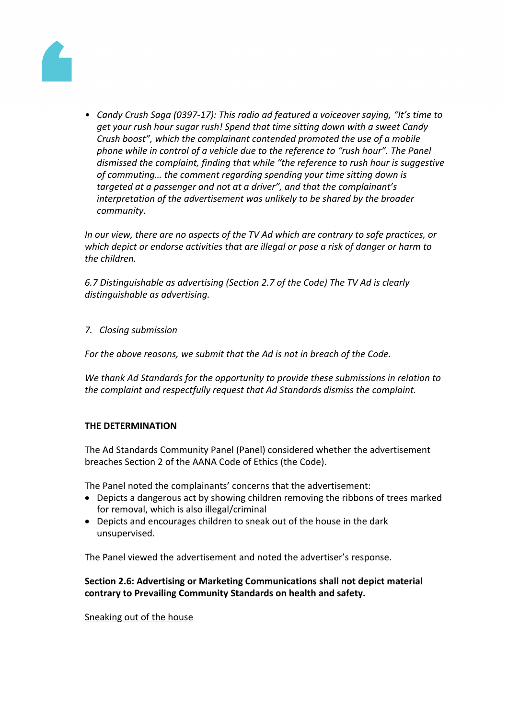

*• Candy Crush Saga (0397-17): This radio ad featured a voiceover saying, "It's time to get your rush hour sugar rush! Spend that time sitting down with a sweet Candy Crush boost", which the complainant contended promoted the use of a mobile phone while in control of a vehicle due to the reference to "rush hour". The Panel dismissed the complaint, finding that while "the reference to rush hour is suggestive of commuting… the comment regarding spending your time sitting down is targeted at a passenger and not at a driver", and that the complainant's interpretation of the advertisement was unlikely to be shared by the broader community.*

*In our view, there are no aspects of the TV Ad which are contrary to safe practices, or which depict or endorse activities that are illegal or pose a risk of danger or harm to the children.*

*6.7 Distinguishable as advertising (Section 2.7 of the Code) The TV Ad is clearly distinguishable as advertising.*

## *7. Closing submission*

*For the above reasons, we submit that the Ad is not in breach of the Code.*

*We thank Ad Standards for the opportunity to provide these submissions in relation to the complaint and respectfully request that Ad Standards dismiss the complaint.*

## **THE DETERMINATION**

The Ad Standards Community Panel (Panel) considered whether the advertisement breaches Section 2 of the AANA Code of Ethics (the Code).

The Panel noted the complainants' concerns that the advertisement:

- Depicts a dangerous act by showing children removing the ribbons of trees marked for removal, which is also illegal/criminal
- Depicts and encourages children to sneak out of the house in the dark unsupervised.

The Panel viewed the advertisement and noted the advertiser's response.

# **Section 2.6: Advertising or Marketing Communications shall not depict material contrary to Prevailing Community Standards on health and safety.**

Sneaking out of the house